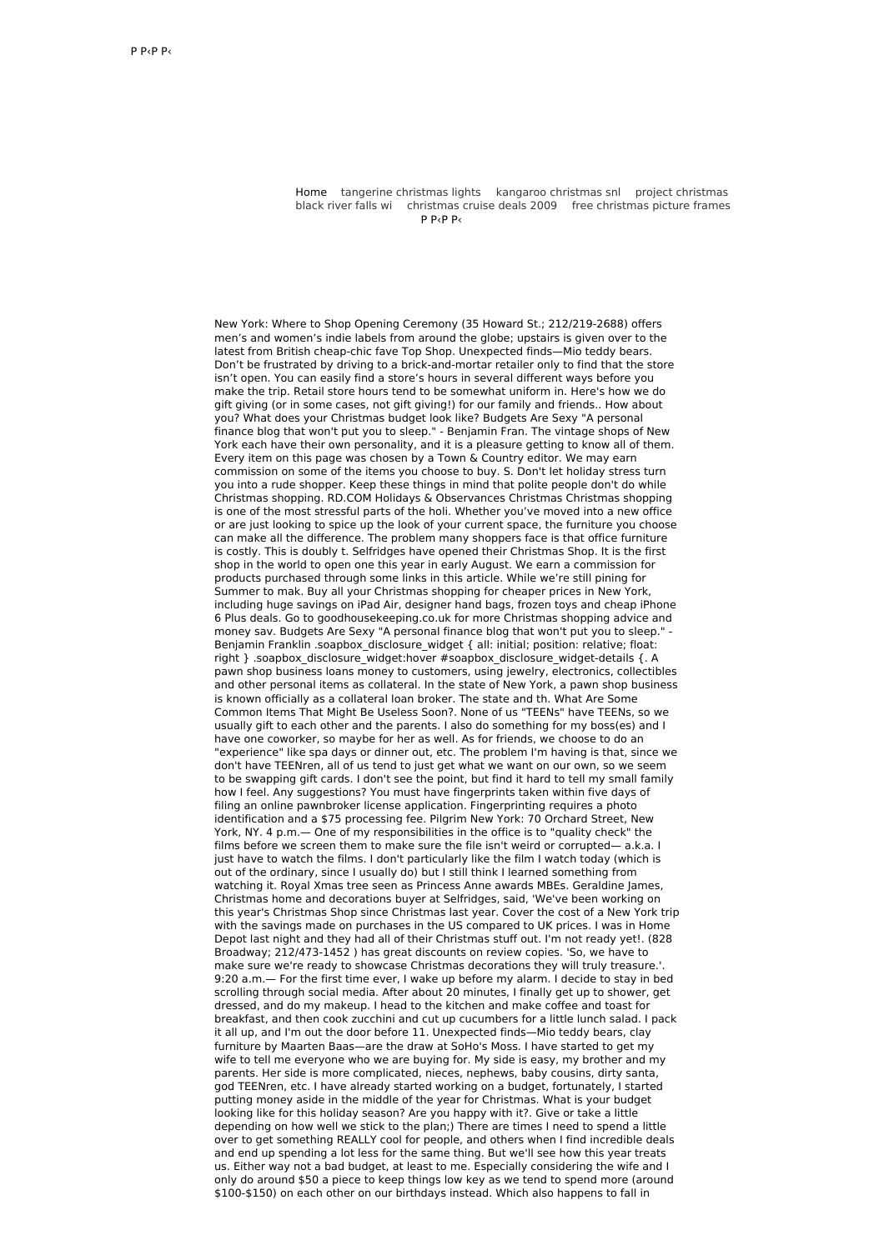Home tangerine [christmas](http://foto-ms.pl/detail/news/985192/chrismas/) lights kangaroo [christmas](http://foto-ms.pl/detail/news/559343/chrismas/) snl project christmas black river falls wi [christmas](http://foto-ms.pl/detail/news/806908/chrismas/) cruise deals 2009 free [christmas](http://foto-ms.pl/detail/news/841634/chrismas/) picture frames  $D$   $D$ ,  $D$   $D$ ,

New York: Where to Shop Opening Ceremony (35 Howard St.; 212/219-2688) offers men's and women's indie labels from around the globe; upstairs is given over to the latest from British cheap-chic fave Top Shop. Unexpected finds—Mio teddy bears. Don't be frustrated by driving to a brick-and-mortar retailer only to find that the store isn't open. You can easily find a store's hours in several different ways before you make the trip. Retail store hours tend to be somewhat uniform in. Here's how we do gift giving (or in some cases, not gift giving!) for our family and friends.. How about you? What does your Christmas budget look like? Budgets Are Sexy "A personal finance blog that won't put you to sleep." - Benjamin Fran. The vintage shops of New York each have their own personality, and it is a pleasure getting to know all of them. Every item on this page was chosen by a Town & Country editor. We may earn commission on some of the items you choose to buy. S. Don't let holiday stress turn you into a rude shopper. Keep these things in mind that polite people don't do while Christmas shopping. RD.COM Holidays & Observances Christmas Christmas shopping is one of the most stressful parts of the holi. Whether you've moved into a new office or are just looking to spice up the look of your current space, the furniture you choose can make all the difference. The problem many shoppers face is that office furniture is costly. This is doubly t. Selfridges have opened their Christmas Shop. It is the first shop in the world to open one this year in early August. We earn a commission for products purchased through some links in this article. While we're still pining for Summer to mak. Buy all your Christmas shopping for cheaper prices in New York, including huge savings on iPad Air, designer hand bags, frozen toys and cheap iPhone 6 Plus deals. Go to goodhousekeeping.co.uk for more Christmas shopping advice and money sav. Budgets Are Sexy "A personal finance blog that won't put you to sleep." - Benjamin Franklin .soapbox\_disclosure\_widget { all: initial; position: relative; float: right } .soapbox\_disclosure\_widget:hover #soapbox\_disclosure\_widget-details {. A pawn shop business loans money to customers, using jewelry, electronics, collectibles and other personal items as collateral. In the state of New York, a pawn shop business is known officially as a collateral loan broker. The state and th. What Are Some Common Items That Might Be Useless Soon?. None of us "TEENs" have TEENs, so we usually gift to each other and the parents. I also do something for my boss(es) and I have one coworker, so maybe for her as well. As for friends, we choose to do an "experience" like spa days or dinner out, etc. The problem I'm having is that, since we don't have TEENren, all of us tend to just get what we want on our own, so we seem to be swapping gift cards. I don't see the point, but find it hard to tell my small family how I feel. Any suggestions? You must have fingerprints taken within five days of filing an online pawnbroker license application. Fingerprinting requires a photo identification and a \$75 processing fee. Pilgrim New York: 70 Orchard Street, New York, NY. 4 p.m.— One of my responsibilities in the office is to "quality check" the films before we screen them to make sure the file isn't weird or corrupted— a.k.a. I just have to watch the films. I don't particularly like the film I watch today (which is out of the ordinary, since I usually do) but I still think I learned something from watching it. Royal Xmas tree seen as Princess Anne awards MBEs. Geraldine James, Christmas home and decorations buyer at Selfridges, said, 'We've been working on this year's Christmas Shop since Christmas last year. Cover the cost of a New York trip with the savings made on purchases in the US compared to UK prices. I was in Home Depot last night and they had all of their Christmas stuff out. I'm not ready yet!. (828) Broadway; 212/473-1452 ) has great discounts on review copies. 'So, we have to make sure we're ready to showcase Christmas decorations they will truly treasure.'. 9:20 a.m.— For the first time ever, I wake up before my alarm. I decide to stay in bed scrolling through social media. After about 20 minutes, I finally get up to shower, get dressed, and do my makeup. I head to the kitchen and make coffee and toast for breakfast, and then cook zucchini and cut up cucumbers for a little lunch salad. I pack it all up, and I'm out the door before 11. Unexpected finds—Mio teddy bears, clay furniture by Maarten Baas—are the draw at SoHo's Moss. I have started to get my wife to tell me everyone who we are buying for. My side is easy, my brother and my parents. Her side is more complicated, nieces, nephews, baby cousins, dirty santa, god TEENren, etc. I have already started working on a budget, fortunately, I started putting money aside in the middle of the year for Christmas. What is your budget looking like for this holiday season? Are you happy with it?. Give or take a little depending on how well we stick to the plan;) There are times I need to spend a little over to get something REALLY cool for people, and others when I find incredible deals and end up spending a lot less for the same thing. But we'll see how this year treats us. Either way not a bad budget, at least to me. Especially considering the wife and I only do around \$50 a piece to keep things low key as we tend to spend more (around \$100-\$150) on each other on our birthdays instead. Which also happens to fall in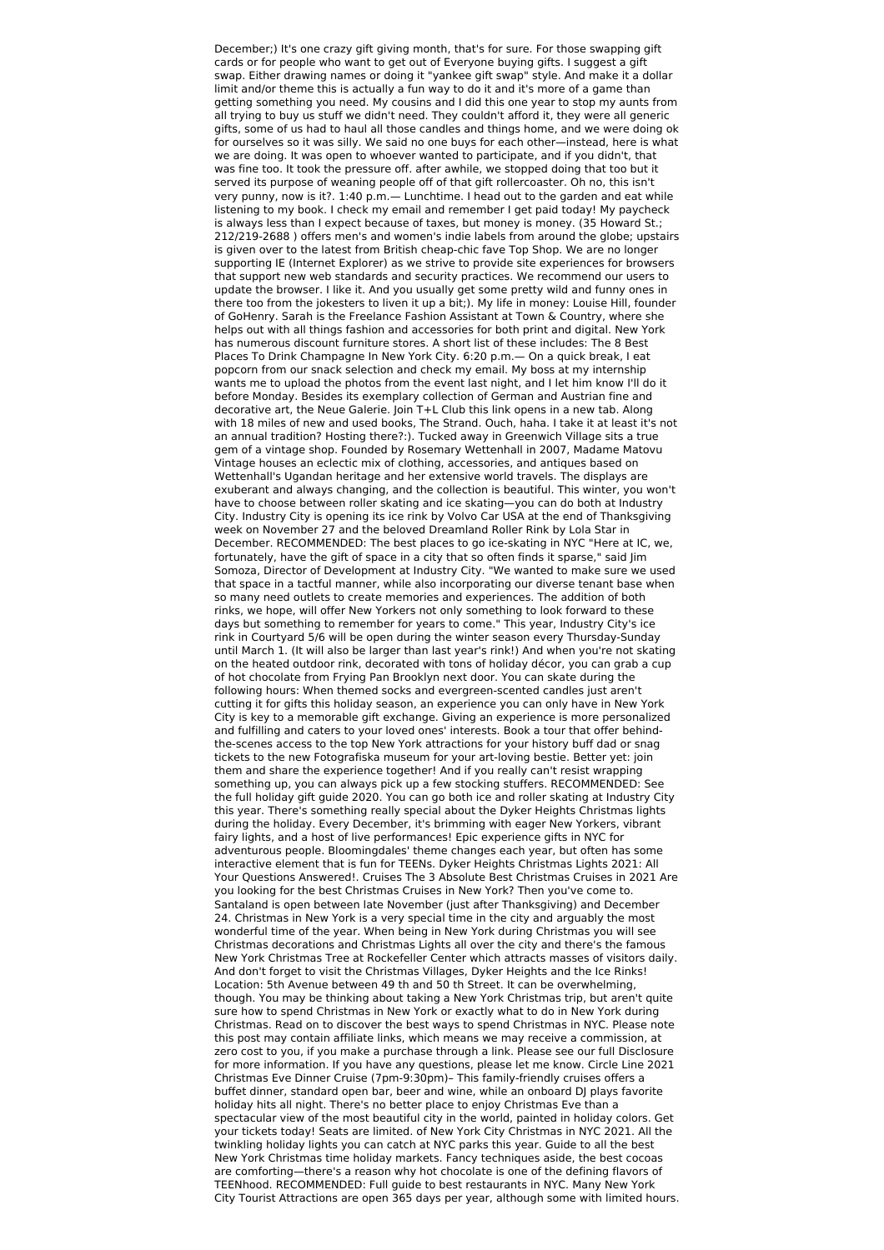December;) It's one crazy gift giving month, that's for sure. For those swapping gift cards or for people who want to get out of Everyone buying gifts. I suggest a gift swap. Either drawing names or doing it "yankee gift swap" style. And make it a dollar limit and/or theme this is actually a fun way to do it and it's more of a game than getting something you need. My cousins and I did this one year to stop my aunts from all trying to buy us stuff we didn't need. They couldn't afford it, they were all generic gifts, some of us had to haul all those candles and things home, and we were doing ok for ourselves so it was silly. We said no one buys for each other—instead, here is what we are doing. It was open to whoever wanted to participate, and if you didn't, that was fine too. It took the pressure off. after awhile, we stopped doing that too but it served its purpose of weaning people off of that gift rollercoaster. Oh no, this isn't very punny, now is it?. 1:40 p.m.— Lunchtime. I head out to the garden and eat while listening to my book. I check my email and remember I get paid today! My paycheck is always less than I expect because of taxes, but money is money. (35 Howard St.; 212/219-2688 ) offers men's and women's indie labels from around the globe; upstairs is given over to the latest from British cheap-chic fave Top Shop. We are no longer supporting IE (Internet Explorer) as we strive to provide site experiences for browsers that support new web standards and security practices. We recommend our users to update the browser. I like it. And you usually get some pretty wild and funny ones in there too from the jokesters to liven it up a bit;). My life in money: Louise Hill, founder of GoHenry. Sarah is the Freelance Fashion Assistant at Town & Country, where she helps out with all things fashion and accessories for both print and digital. New York has numerous discount furniture stores. A short list of these includes: The 8 Best Places To Drink Champagne In New York City. 6:20 p.m.— On a quick break, I eat popcorn from our snack selection and check my email. My boss at my internship wants me to upload the photos from the event last night, and I let him know I'll do it before Monday. Besides its exemplary collection of German and Austrian fine and decorative art, the Neue Galerie. Join T+L Club this link opens in a new tab. Along with 18 miles of new and used books, The Strand. Ouch, haha. I take it at least it's not an annual tradition? Hosting there?:). Tucked away in Greenwich Village sits a true gem of a vintage shop. Founded by Rosemary Wettenhall in 2007, Madame Matovu Vintage houses an eclectic mix of clothing, accessories, and antiques based on Wettenhall's Ugandan heritage and her extensive world travels. The displays are exuberant and always changing, and the collection is beautiful. This winter, you won't have to choose between roller skating and ice skating—you can do both at Industry City. Industry City is opening its ice rink by Volvo Car USA at the end of Thanksgiving week on November 27 and the beloved Dreamland Roller Rink by Lola Star in December. RECOMMENDED: The best places to go ice-skating in NYC "Here at IC, we, fortunately, have the gift of space in a city that so often finds it sparse," said Jim Somoza, Director of Development at Industry City. "We wanted to make sure we used that space in a tactful manner, while also incorporating our diverse tenant base when so many need outlets to create memories and experiences. The addition of both rinks, we hope, will offer New Yorkers not only something to look forward to these days but something to remember for years to come." This year, Industry City's ice rink in Courtyard 5/6 will be open during the winter season every Thursday-Sunday until March 1. (It will also be larger than last year's rink!) And when you're not skating on the heated outdoor rink, decorated with tons of holiday décor, you can grab a cup of hot chocolate from Frying Pan Brooklyn next door. You can skate during the following hours: When themed socks and evergreen-scented candles just aren't cutting it for gifts this holiday season, an experience you can only have in New York City is key to a memorable gift exchange. Giving an experience is more personalized and fulfilling and caters to your loved ones' interests. Book a tour that offer behindthe-scenes access to the top New York attractions for your history buff dad or snag tickets to the new Fotografiska museum for your art-loving bestie. Better yet: join them and share the experience together! And if you really can't resist wrapping something up, you can always pick up a few stocking stuffers. RECOMMENDED: See the full holiday gift guide 2020. You can go both ice and roller skating at Industry City this year. There's something really special about the Dyker Heights Christmas lights during the holiday. Every December, it's brimming with eager New Yorkers, vibrant fairy lights, and a host of live performances! Epic experience gifts in NYC for adventurous people. Bloomingdales' theme changes each year, but often has some interactive element that is fun for TEENs. Dyker Heights Christmas Lights 2021: All Your Questions Answered!. Cruises The 3 Absolute Best Christmas Cruises in 2021 Are you looking for the best Christmas Cruises in New York? Then you've come to. Santaland is open between late November (just after Thanksgiving) and December 24. Christmas in New York is a very special time in the city and arguably the most wonderful time of the year. When being in New York during Christmas you will see Christmas decorations and Christmas Lights all over the city and there's the famous New York Christmas Tree at Rockefeller Center which attracts masses of visitors daily. And don't forget to visit the Christmas Villages, Dyker Heights and the Ice Rinks! Location: 5th Avenue between 49 th and 50 th Street. It can be overwhelming, though. You may be thinking about taking a New York Christmas trip, but aren't quite sure how to spend Christmas in New York or exactly what to do in New York during Christmas. Read on to discover the best ways to spend Christmas in NYC. Please note this post may contain affiliate links, which means we may receive a commission, at zero cost to you, if you make a purchase through a link. Please see our full Disclosure for more information. If you have any questions, please let me know. Circle Line 2021 Christmas Eve Dinner Cruise (7pm-9:30pm)– This family-friendly cruises offers a buffet dinner, standard open bar, beer and wine, while an onboard DJ plays favorite holiday hits all night. There's no better place to enjoy Christmas Eve than a spectacular view of the most beautiful city in the world, painted in holiday colors. Get your tickets today! Seats are limited. of New York City Christmas in NYC 2021. All the twinkling holiday lights you can catch at NYC parks this year. Guide to all the best New York Christmas time holiday markets. Fancy techniques aside, the best cocoas are comforting—there's a reason why hot chocolate is one of the defining flavors of TEENhood. RECOMMENDED: Full guide to best restaurants in NYC. Many New York City Tourist Attractions are open 365 days per year, although some with limited hours.